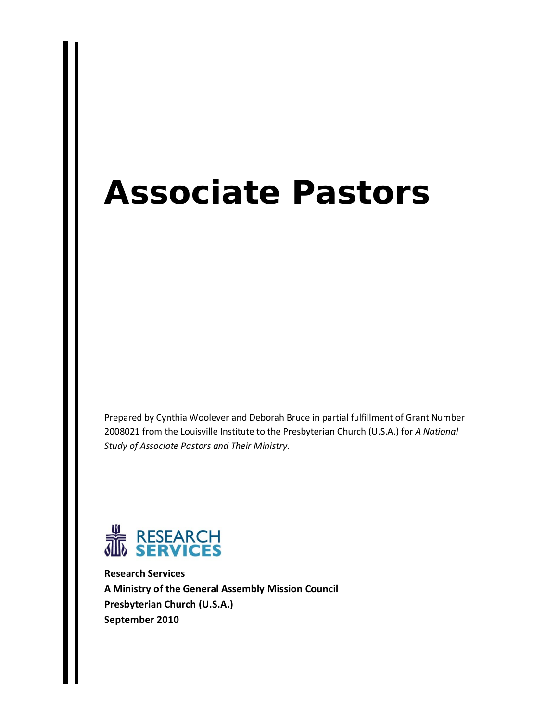# **Associate Pastors**

Prepared by Cynthia Woolever and Deborah Bruce in partial fulfillment of Grant Number 2008021 from the Louisville Institute to the Presbyterian Church (U.S.A.) for *A National Study of Associate Pastors and Their Ministry*.



**Research Services A Ministry of the General Assembly Mission Council Presbyterian Church (U.S.A.) September 2010**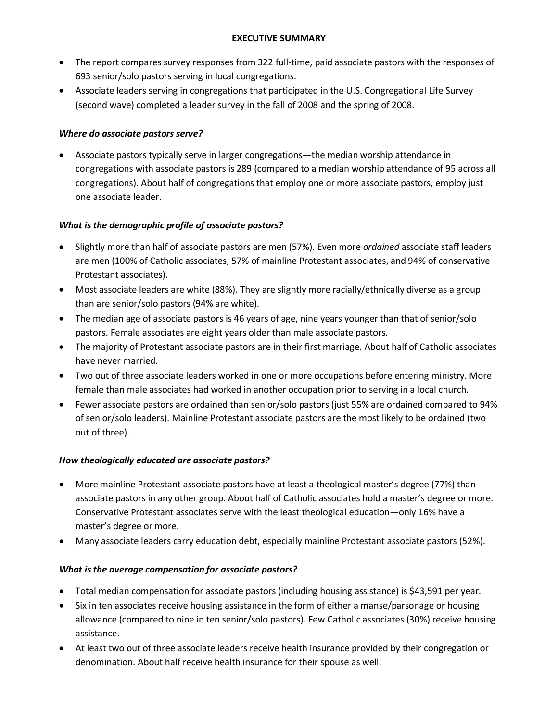#### **EXECUTIVE SUMMARY**

- The report compares survey responses from 322 full-time, paid associate pastors with the responses of 693 senior/solo pastors serving in local congregations.
- Associate leaders serving in congregations that participated in the U.S. Congregational Life Survey (second wave) completed a leader survey in the fall of 2008 and the spring of 2008.

# *Where do associate pastors serve?*

• Associate pastors typically serve in larger congregations—the median worship attendance in congregations with associate pastors is 289 (compared to a median worship attendance of 95 across all congregations). About half of congregations that employ one or more associate pastors, employ just one associate leader.

# *What is the demographic profile of associate pastors?*

- Slightly more than half of associate pastors are men (57%). Even more *ordained* associate staff leaders are men (100% of Catholic associates, 57% of mainline Protestant associates, and 94% of conservative Protestant associates).
- Most associate leaders are white (88%). They are slightly more racially/ethnically diverse as a group than are senior/solo pastors (94% are white).
- The median age of associate pastors is 46 years of age, nine years younger than that of senior/solo pastors. Female associates are eight years older than male associate pastors.
- The majority of Protestant associate pastors are in their first marriage. About half of Catholic associates have never married.
- Two out of three associate leaders worked in one or more occupations before entering ministry. More female than male associates had worked in another occupation prior to serving in a local church.
- Fewer associate pastors are ordained than senior/solo pastors (just 55% are ordained compared to 94% of senior/solo leaders). Mainline Protestant associate pastors are the most likely to be ordained (two out of three).

# *How theologically educated are associate pastors?*

- More mainline Protestant associate pastors have at least a theological master's degree (77%) than associate pastors in any other group. About half of Catholic associates hold a master's degree or more. Conservative Protestant associates serve with the least theological education—only 16% have a master's degree or more.
- Many associate leaders carry education debt, especially mainline Protestant associate pastors (52%).

# *What is the average compensation for associate pastors?*

- Total median compensation for associate pastors (including housing assistance) is \$43,591 per year.
- Six in ten associates receive housing assistance in the form of either a manse/parsonage or housing allowance (compared to nine in ten senior/solo pastors). Few Catholic associates (30%) receive housing assistance.
- At least two out of three associate leaders receive health insurance provided by their congregation or denomination. About half receive health insurance for their spouse as well.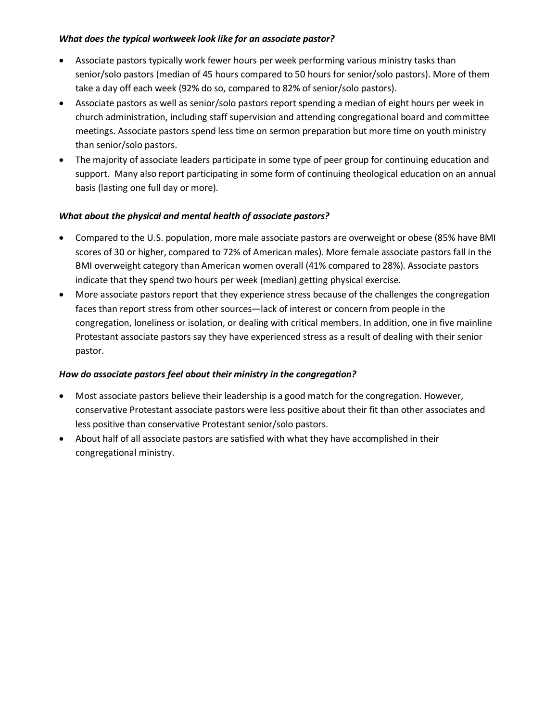## *What does the typical workweek look like for an associate pastor?*

- Associate pastors typically work fewer hours per week performing various ministry tasks than senior/solo pastors (median of 45 hours compared to 50 hours for senior/solo pastors). More of them take a day off each week (92% do so, compared to 82% of senior/solo pastors).
- Associate pastors as well as senior/solo pastors report spending a median of eight hours per week in church administration, including staff supervision and attending congregational board and committee meetings. Associate pastors spend less time on sermon preparation but more time on youth ministry than senior/solo pastors.
- The majority of associate leaders participate in some type of peer group for continuing education and support. Many also report participating in some form of continuing theological education on an annual basis (lasting one full day or more).

# *What about the physical and mental health of associate pastors?*

- Compared to the U.S. population, more male associate pastors are overweight or obese (85% have BMI scores of 30 or higher, compared to 72% of American males). More female associate pastors fall in the BMI overweight category than American women overall (41% compared to 28%). Associate pastors indicate that they spend two hours per week (median) getting physical exercise.
- More associate pastors report that they experience stress because of the challenges the congregation faces than report stress from other sources—lack of interest or concern from people in the congregation, loneliness or isolation, or dealing with critical members. In addition, one in five mainline Protestant associate pastors say they have experienced stress as a result of dealing with their senior pastor.

# *How do associate pastors feel about their ministry in the congregation?*

- Most associate pastors believe their leadership is a good match for the congregation. However, conservative Protestant associate pastors were less positive about their fit than other associates and less positive than conservative Protestant senior/solo pastors.
- About half of all associate pastors are satisfied with what they have accomplished in their congregational ministry.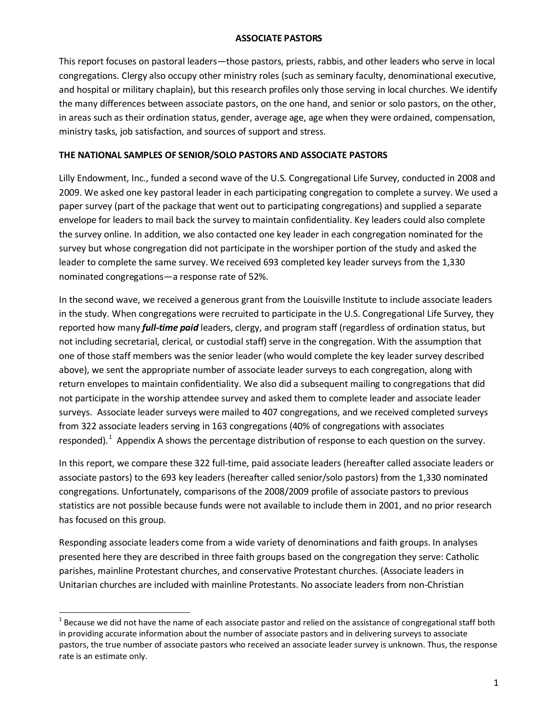#### **ASSOCIATE PASTORS**

This report focuses on pastoral leaders—those pastors, priests, rabbis, and other leaders who serve in local congregations. Clergy also occupy other ministry roles (such as seminary faculty, denominational executive, and hospital or military chaplain), but this research profiles only those serving in local churches. We identify the many differences between associate pastors, on the one hand, and senior or solo pastors, on the other, in areas such as their ordination status, gender, average age, age when they were ordained, compensation, ministry tasks, job satisfaction, and sources of support and stress.

## **THE NATIONAL SAMPLES OF SENIOR/SOLO PASTORS AND ASSOCIATE PASTORS**

Lilly Endowment, Inc., funded a second wave of the U.S. Congregational Life Survey, conducted in 2008 and 2009. We asked one key pastoral leader in each participating congregation to complete a survey. We used a paper survey (part of the package that went out to participating congregations) and supplied a separate envelope for leaders to mail back the survey to maintain confidentiality. Key leaders could also complete the survey online. In addition, we also contacted one key leader in each congregation nominated for the survey but whose congregation did not participate in the worshiper portion of the study and asked the leader to complete the same survey. We received 693 completed key leader surveys from the 1,330 nominated congregations—a response rate of 52%.

In the second wave, we received a generous grant from the Louisville Institute to include associate leaders in the study. When congregations were recruited to participate in the U.S. Congregational Life Survey, they reported how many *full-time paid* leaders, clergy, and program staff (regardless of ordination status, but not including secretarial, clerical, or custodial staff) serve in the congregation. With the assumption that one of those staff members was the senior leader (who would complete the key leader survey described above), we sent the appropriate number of associate leader surveys to each congregation, along with return envelopes to maintain confidentiality. We also did a subsequent mailing to congregations that did not participate in the worship attendee survey and asked them to complete leader and associate leader surveys. Associate leader surveys were mailed to 407 congregations, and we received completed surveys from 322 associate leaders serving in 163 congregations (40% of congregations with associates responded). <sup>[1](#page-3-0)</sup> Appendix A shows the percentage distribution of response to each question on the survey.

In this report, we compare these 322 full-time, paid associate leaders (hereafter called associate leaders or associate pastors) to the 693 key leaders (hereafter called senior/solo pastors) from the 1,330 nominated congregations. Unfortunately, comparisons of the 2008/2009 profile of associate pastors to previous statistics are not possible because funds were not available to include them in 2001, and no prior research has focused on this group.

Responding associate leaders come from a wide variety of denominations and faith groups. In analyses presented here they are described in three faith groups based on the congregation they serve: Catholic parishes, mainline Protestant churches, and conservative Protestant churches. (Associate leaders in Unitarian churches are included with mainline Protestants. No associate leaders from non-Christian

<span id="page-3-0"></span> $1$  Because we did not have the name of each associate pastor and relied on the assistance of congregational staff both in providing accurate information about the number of associate pastors and in delivering surveys to associate pastors, the true number of associate pastors who received an associate leader survey is unknown. Thus, the response rate is an estimate only.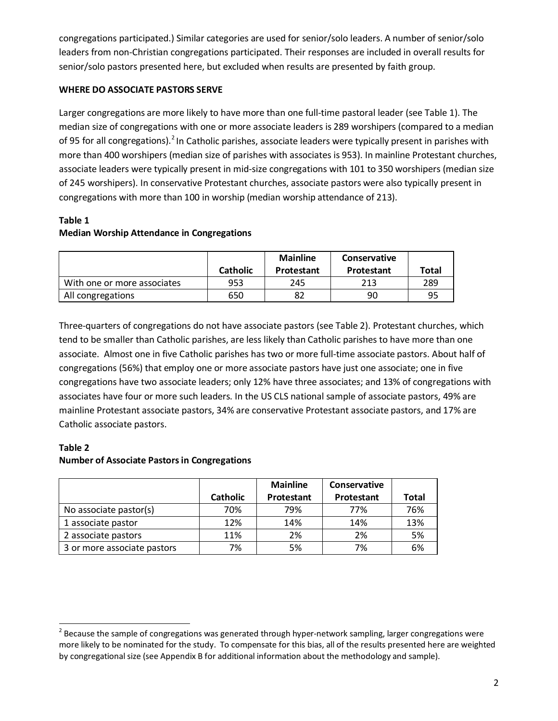congregations participated.) Similar categories are used for senior/solo leaders. A number of senior/solo leaders from non-Christian congregations participated. Their responses are included in overall results for senior/solo pastors presented here, but excluded when results are presented by faith group.

# **WHERE DO ASSOCIATE PASTORS SERVE**

Larger congregations are more likely to have more than one full-time pastoral leader (see Table 1). The median size of congregations with one or more associate leaders is 289 worshipers (compared to a median of 95 for all congregations).<sup>[2](#page-4-0)</sup> In Catholic parishes, associate leaders were typically present in parishes with more than 400 worshipers (median size of parishes with associates is 953). In mainline Protestant churches, associate leaders were typically present in mid-size congregations with 101 to 350 worshipers (median size of 245 worshipers). In conservative Protestant churches, associate pastors were also typically present in congregations with more than 100 in worship (median worship attendance of 213).

# **Table 1 Median Worship Attendance in Congregations**

|                             | <b>Catholic</b> | <b>Mainline</b><br>Protestant | <b>Conservative</b><br>Protestant | Total |
|-----------------------------|-----------------|-------------------------------|-----------------------------------|-------|
| With one or more associates | 953             | 245                           | 213                               | 289   |
| All congregations           | 650             | 82                            | 90                                | 95    |

Three-quarters of congregations do not have associate pastors (see Table 2). Protestant churches, which tend to be smaller than Catholic parishes, are less likely than Catholic parishes to have more than one associate. Almost one in five Catholic parishes has two or more full-time associate pastors. About half of congregations (56%) that employ one or more associate pastors have just one associate; one in five congregations have two associate leaders; only 12% have three associates; and 13% of congregations with associates have four or more such leaders. In the US CLS national sample of associate pastors, 49% are mainline Protestant associate pastors, 34% are conservative Protestant associate pastors, and 17% are Catholic associate pastors.

# **Table 2 Number of Associate Pastors in Congregations**

|                             |                 | <b>Mainline</b> | <b>Conservative</b> |              |
|-----------------------------|-----------------|-----------------|---------------------|--------------|
|                             | <b>Catholic</b> | Protestant      | Protestant          | <b>Total</b> |
| No associate pastor(s)      | 70%             | 79%             | 77%                 | 76%          |
| 1 associate pastor          | 12%             | 14%             | 14%                 | 13%          |
| 2 associate pastors         | 11%             | 2%              | 2%                  | 5%           |
| 3 or more associate pastors | 7%              | 5%              | 7%                  | 6%           |

<span id="page-4-0"></span> $2$  Because the sample of congregations was generated through hyper-network sampling, larger congregations were more likely to be nominated for the study. To compensate for this bias, all of the results presented here are weighted by congregational size (see Appendix B for additional information about the methodology and sample).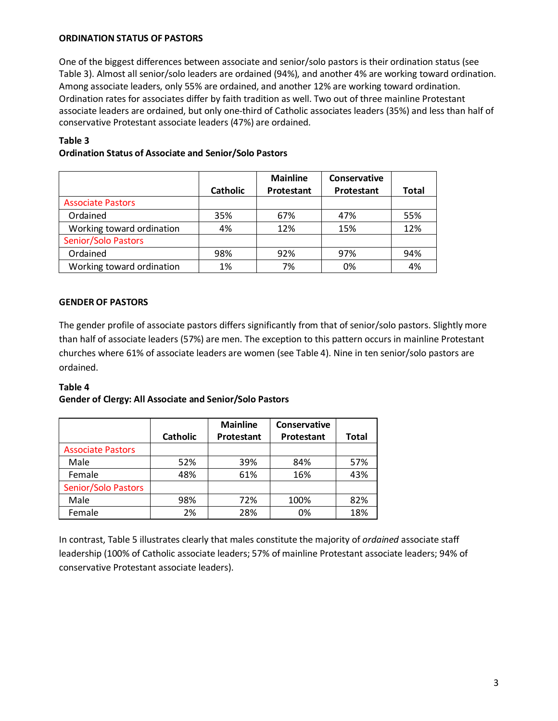#### **ORDINATION STATUS OF PASTORS**

One of the biggest differences between associate and senior/solo pastors is their ordination status (see Table 3). Almost all senior/solo leaders are ordained (94%), and another 4% are working toward ordination. Among associate leaders, only 55% are ordained, and another 12% are working toward ordination. Ordination rates for associates differ by faith tradition as well. Two out of three mainline Protestant associate leaders are ordained, but only one-third of Catholic associates leaders (35%) and less than half of conservative Protestant associate leaders (47%) are ordained.

### **Table 3**

|                            |                 | <b>Mainline</b> | <b>Conservative</b> |       |
|----------------------------|-----------------|-----------------|---------------------|-------|
|                            | <b>Catholic</b> | Protestant      | Protestant          | Total |
| <b>Associate Pastors</b>   |                 |                 |                     |       |
| Ordained                   | 35%             | 67%             | 47%                 | 55%   |
| Working toward ordination  | 4%              | 12%             | 15%                 | 12%   |
| <b>Senior/Solo Pastors</b> |                 |                 |                     |       |
| Ordained                   | 98%             | 92%             | 97%                 | 94%   |
| Working toward ordination  | 1%              | 7%              | 0%                  | 4%    |

# **Ordination Status of Associate and Senior/Solo Pastors**

### **GENDER OF PASTORS**

The gender profile of associate pastors differs significantly from that of senior/solo pastors. Slightly more than half of associate leaders (57%) are men. The exception to this pattern occurs in mainline Protestant churches where 61% of associate leaders are women (see Table 4). Nine in ten senior/solo pastors are ordained.

# **Table 4**

#### **Gender of Clergy: All Associate and Senior/Solo Pastors**

|                            | <b>Catholic</b> | <b>Mainline</b><br>Protestant | Conservative<br>Protestant | <b>Total</b> |
|----------------------------|-----------------|-------------------------------|----------------------------|--------------|
| <b>Associate Pastors</b>   |                 |                               |                            |              |
| Male                       | 52%             | 39%                           | 84%                        | 57%          |
| Female                     | 48%             | 61%                           | 16%                        | 43%          |
| <b>Senior/Solo Pastors</b> |                 |                               |                            |              |
| Male                       | 98%             | 72%                           | 100%                       | 82%          |
| Female                     | 2%              | 28%                           | 0%                         | 18%          |

In contrast, Table 5 illustrates clearly that males constitute the majority of *ordained* associate staff leadership (100% of Catholic associate leaders; 57% of mainline Protestant associate leaders; 94% of conservative Protestant associate leaders).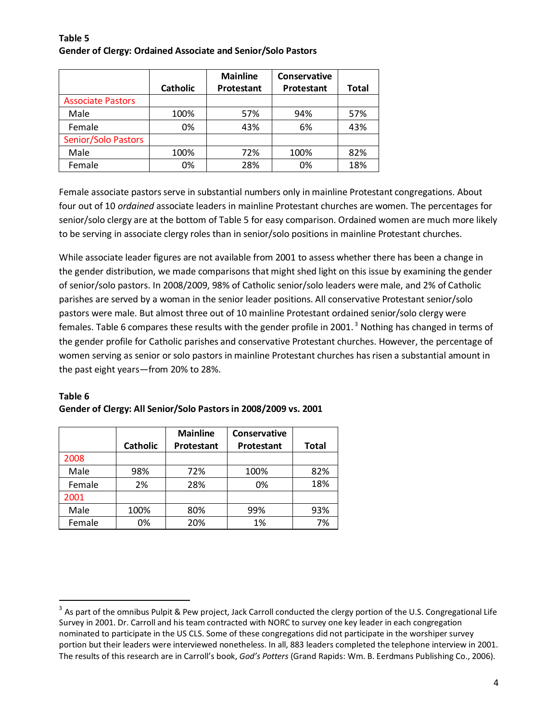#### **Table 5 Gender of Clergy: Ordained Associate and Senior/Solo Pastors**

|                            | <b>Catholic</b> | <b>Mainline</b><br>Protestant | Conservative<br>Protestant | Total |
|----------------------------|-----------------|-------------------------------|----------------------------|-------|
| <b>Associate Pastors</b>   |                 |                               |                            |       |
|                            |                 |                               |                            |       |
| Male                       | 100%            | 57%                           | 94%                        | 57%   |
| Female                     | 0%              | 43%                           | 6%                         | 43%   |
| <b>Senior/Solo Pastors</b> |                 |                               |                            |       |
| Male                       | 100%            | 72%                           | 100%                       | 82%   |
| Female                     | 0%              | 28%                           | 0%                         | 18%   |

Female associate pastors serve in substantial numbers only in mainline Protestant congregations. About four out of 10 *ordained* associate leaders in mainline Protestant churches are women. The percentages for senior/solo clergy are at the bottom of Table 5 for easy comparison. Ordained women are much more likely to be serving in associate clergy roles than in senior/solo positions in mainline Protestant churches.

While associate leader figures are not available from 2001 to assess whether there has been a change in the gender distribution, we made comparisons that might shed light on this issue by examining the gender of senior/solo pastors. In 2008/2009, 98% of Catholic senior/solo leaders were male, and 2% of Catholic parishes are served by a woman in the senior leader positions. All conservative Protestant senior/solo pastors were male. But almost three out of 10 mainline Protestant ordained senior/solo clergy were females. Table 6 compares these results with the gender profile in 2001.<sup>[3](#page-6-0)</sup> Nothing has changed in terms of the gender profile for Catholic parishes and conservative Protestant churches. However, the percentage of women serving as senior or solo pastors in mainline Protestant churches has risen a substantial amount in the past eight years—from 20% to 28%.

# **Table 6 Gender of Clergy: All Senior/Solo Pastors in 2008/2009 vs. 2001**

|        | <b>Catholic</b> | <b>Mainline</b><br>Protestant | Conservative<br>Protestant | <b>Total</b> |
|--------|-----------------|-------------------------------|----------------------------|--------------|
| 2008   |                 |                               |                            |              |
| Male   | 98%             | 72%                           | 100%                       | 82%          |
| Female | 2%              | 28%                           | 0%                         | 18%          |
| 2001   |                 |                               |                            |              |
| Male   | 100%            | 80%                           | 99%                        | 93%          |
| Female | 0%              | 20%                           | 1%                         | 7%           |

<span id="page-6-0"></span> $3$  As part of the omnibus Pulpit & Pew project, Jack Carroll conducted the clergy portion of the U.S. Congregational Life Survey in 2001. Dr. Carroll and his team contracted with NORC to survey one key leader in each congregation nominated to participate in the US CLS. Some of these congregations did not participate in the worshiper survey portion but their leaders were interviewed nonetheless. In all, 883 leaders completed the telephone interview in 2001. The results of this research are in Carroll's book, *God's Potters* (Grand Rapids: Wm. B. Eerdmans Publishing Co., 2006).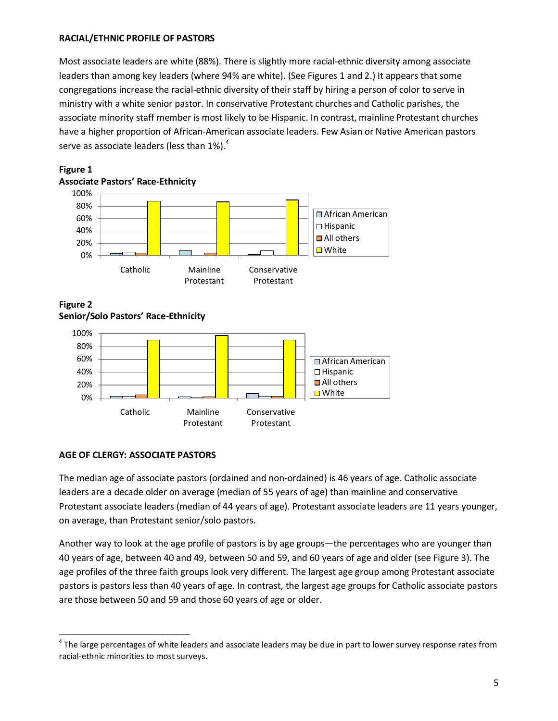## **RACIAL/ETHNIC PROFILE OF PASTORS**

Most associate leaders are white (88%). There is slightly more racial-ethnic diversity among associate leaders than among key leaders (where 94% are white). (See Figures 1 and 2.) It appears that some congregations increase the racial-ethnic diversity of their staff by hiring a person of color to serve in ministry with a white senior pastor. In conservative Protestant churches and Catholic parishes, the associate minority staff member is most likely to be Hispanic. In contrast, mainline Protestant churches have a higher proportion of African-American associate leaders. Few Asian or Native American pastors serve as associate leaders (less than  $1\%$ ).<sup>[4](#page-7-0)</sup>





### **Figure 2 Senior/Solo Pastors' Race-Ethnicity**



# **AGE OF CLERGY: ASSOCIATE PASTORS**

The median age of associate pastors (ordained and non-ordained) is 46 years of age. Catholic associate leaders are a decade older on average (median of 55 years of age) than mainline and conservative Protestant associate leaders (median of 44 years of age). Protestant associate leaders are 11 years younger, on average, than Protestant senior/solo pastors.

Another way to look at the age profile of pastors is by age groups—the percentages who are younger than 40 years of age, between 40 and 49, between 50 and 59, and 60 years of age and older (see Figure 3). The age profiles of the three faith groups look very different. The largest age group among Protestant associate pastors is pastors less than 40 years of age. In contrast, the largest age groups for Catholic associate pastors are those between 50 and 59 and those 60 years of age or older.

<span id="page-7-0"></span> $4$  The large percentages of white leaders and associate leaders may be due in part to lower survey response rates from racial-ethnic minorities to most surveys.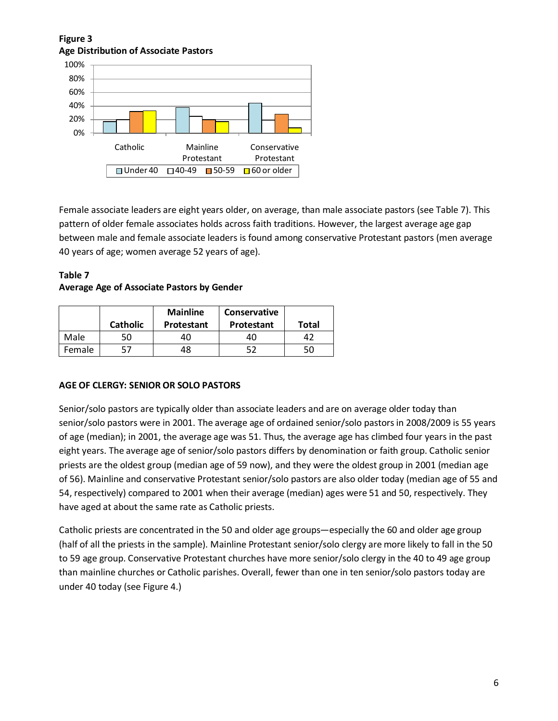# **Figure 3 Age Distribution of Associate Pastors**



Female associate leaders are eight years older, on average, than male associate pastors (see Table 7). This pattern of older female associates holds across faith traditions. However, the largest average age gap between male and female associate leaders is found among conservative Protestant pastors (men average 40 years of age; women average 52 years of age).

**Table 7 Average Age of Associate Pastors by Gender**

|        | <b>Catholic</b> | <b>Mainline</b><br><b>Protestant</b> | <b>Conservative</b><br>Protestant | Total |
|--------|-----------------|--------------------------------------|-----------------------------------|-------|
| Male   | 50              | 40                                   | 40                                | 42    |
| Female | 57              | 48                                   | 52                                | 50    |

# **AGE OF CLERGY: SENIOR OR SOLO PASTORS**

Senior/solo pastors are typically older than associate leaders and are on average older today than senior/solo pastors were in 2001. The average age of ordained senior/solo pastors in 2008/2009 is 55 years of age (median); in 2001, the average age was 51. Thus, the average age has climbed four years in the past eight years. The average age of senior/solo pastors differs by denomination or faith group. Catholic senior priests are the oldest group (median age of 59 now), and they were the oldest group in 2001 (median age of 56). Mainline and conservative Protestant senior/solo pastors are also older today (median age of 55 and 54, respectively) compared to 2001 when their average (median) ages were 51 and 50, respectively. They have aged at about the same rate as Catholic priests.

Catholic priests are concentrated in the 50 and older age groups—especially the 60 and older age group (half of all the priests in the sample). Mainline Protestant senior/solo clergy are more likely to fall in the 50 to 59 age group. Conservative Protestant churches have more senior/solo clergy in the 40 to 49 age group than mainline churches or Catholic parishes. Overall, fewer than one in ten senior/solo pastors today are under 40 today (see Figure 4.)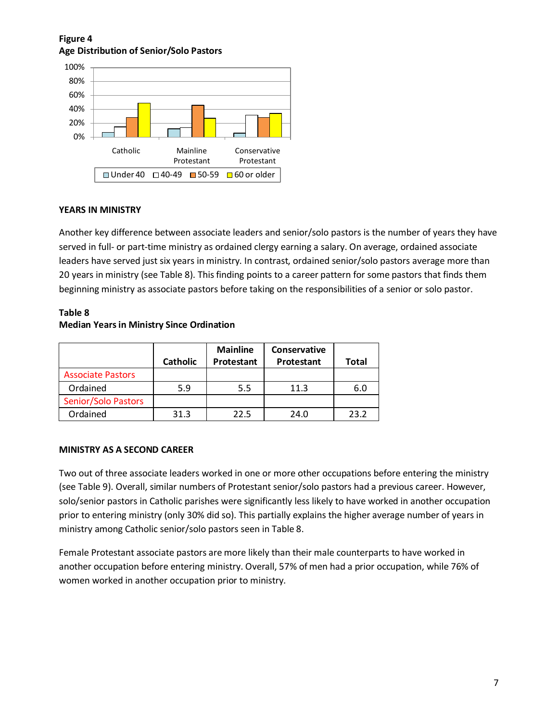# **Figure 4 Age Distribution of Senior/Solo Pastors**



# **YEARS IN MINISTRY**

Another key difference between associate leaders and senior/solo pastors is the number of years they have served in full- or part-time ministry as ordained clergy earning a salary. On average, ordained associate leaders have served just six years in ministry. In contrast, ordained senior/solo pastors average more than 20 years in ministry (see Table 8). This finding points to a career pattern for some pastors that finds them beginning ministry as associate pastors before taking on the responsibilities of a senior or solo pastor.

## **Table 8 Median Years in Ministry Since Ordination**

|                            | <b>Catholic</b> | <b>Mainline</b><br>Protestant | <b>Conservative</b><br>Protestant | Total |
|----------------------------|-----------------|-------------------------------|-----------------------------------|-------|
| <b>Associate Pastors</b>   |                 |                               |                                   |       |
| Ordained                   | 5.9             | 5.5                           | 11.3                              | 6.0   |
| <b>Senior/Solo Pastors</b> |                 |                               |                                   |       |
| Ordained                   | 31.3            | 22.5                          | 24.0                              | 23.2  |

# **MINISTRY AS A SECOND CAREER**

Two out of three associate leaders worked in one or more other occupations before entering the ministry (see Table 9). Overall, similar numbers of Protestant senior/solo pastors had a previous career. However, solo/senior pastors in Catholic parishes were significantly less likely to have worked in another occupation prior to entering ministry (only 30% did so). This partially explains the higher average number of years in ministry among Catholic senior/solo pastors seen in Table 8.

Female Protestant associate pastors are more likely than their male counterparts to have worked in another occupation before entering ministry. Overall, 57% of men had a prior occupation, while 76% of women worked in another occupation prior to ministry.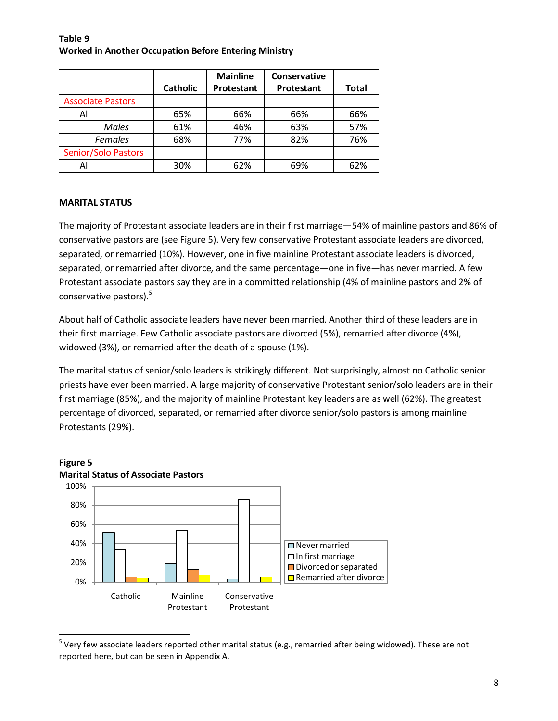## **Table 9 Worked in Another Occupation Before Entering Ministry**

|                          |                 | <b>Mainline</b> | Conservative |       |
|--------------------------|-----------------|-----------------|--------------|-------|
|                          | <b>Catholic</b> | Protestant      | Protestant   | Total |
| <b>Associate Pastors</b> |                 |                 |              |       |
| All                      | 65%             | 66%             | 66%          | 66%   |
| Males                    | 61%             | 46%             | 63%          | 57%   |
| <b>Females</b>           | 68%             | 77%             | 82%          | 76%   |
| Senior/Solo Pastors      |                 |                 |              |       |
| All                      | 30%             | 62%             | 69%          | 62%   |

# **MARITAL STATUS**

The majority of Protestant associate leaders are in their first marriage—54% of mainline pastors and 86% of conservative pastors are (see Figure 5). Very few conservative Protestant associate leaders are divorced, separated, or remarried (10%). However, one in five mainline Protestant associate leaders is divorced, separated, or remarried after divorce, and the same percentage—one in five—has never married. A few Protestant associate pastors say they are in a committed relationship (4% of mainline pastors and 2% of conservative pastors).[5](#page-10-0)

About half of Catholic associate leaders have never been married. Another third of these leaders are in their first marriage. Few Catholic associate pastors are divorced (5%), remarried after divorce (4%), widowed (3%), or remarried after the death of a spouse (1%).

The marital status of senior/solo leaders is strikingly different. Not surprisingly, almost no Catholic senior priests have ever been married. A large majority of conservative Protestant senior/solo leaders are in their first marriage (85%), and the majority of mainline Protestant key leaders are as well (62%). The greatest percentage of divorced, separated, or remarried after divorce senior/solo pastors is among mainline Protestants (29%).





<span id="page-10-0"></span> $^5$  Very few associate leaders reported other marital status (e.g., remarried after being widowed). These are not reported here, but can be seen in Appendix A.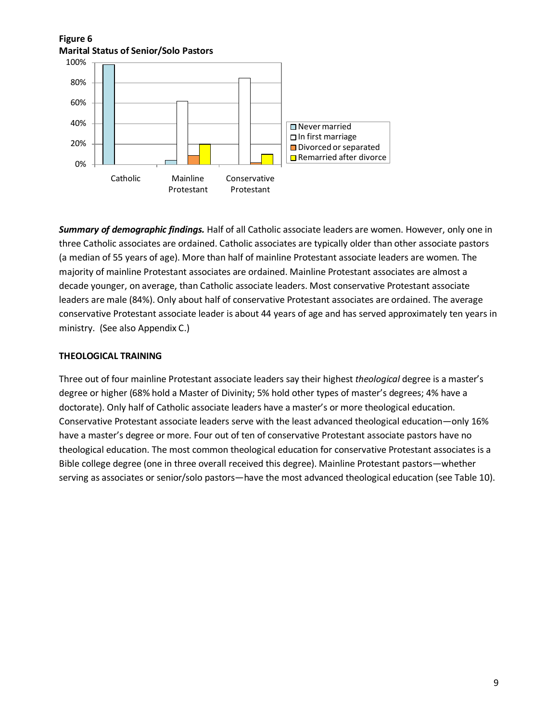

*Summary of demographic findings.* Half of all Catholic associate leaders are women. However, only one in three Catholic associates are ordained. Catholic associates are typically older than other associate pastors (a median of 55 years of age). More than half of mainline Protestant associate leaders are women. The majority of mainline Protestant associates are ordained. Mainline Protestant associates are almost a decade younger, on average, than Catholic associate leaders. Most conservative Protestant associate leaders are male (84%). Only about half of conservative Protestant associates are ordained. The average conservative Protestant associate leader is about 44 years of age and has served approximately ten years in ministry. (See also Appendix C.)

#### **THEOLOGICAL TRAINING**

Three out of four mainline Protestant associate leaders say their highest *theological* degree is a master's degree or higher (68% hold a Master of Divinity; 5% hold other types of master's degrees; 4% have a doctorate). Only half of Catholic associate leaders have a master's or more theological education. Conservative Protestant associate leaders serve with the least advanced theological education—only 16% have a master's degree or more. Four out of ten of conservative Protestant associate pastors have no theological education. The most common theological education for conservative Protestant associates is a Bible college degree (one in three overall received this degree). Mainline Protestant pastors—whether serving as associates or senior/solo pastors—have the most advanced theological education (see Table 10).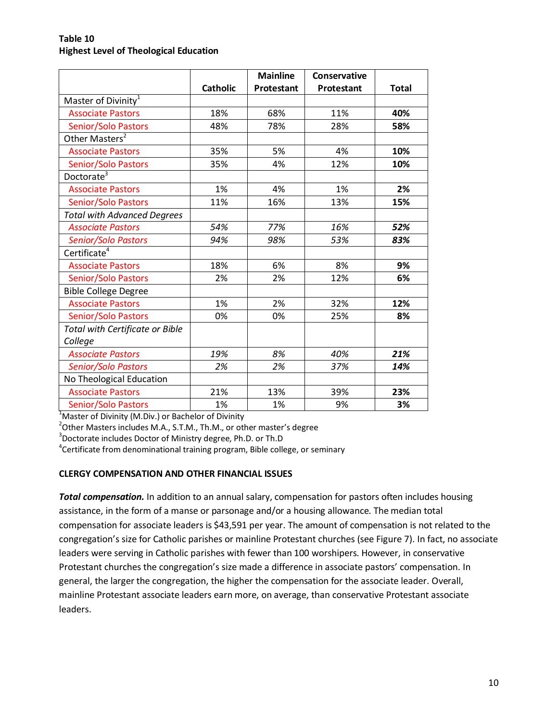### **Table 10 Highest Level of Theological Education**

|                                    |                 | <b>Mainline</b> | Conservative      |              |
|------------------------------------|-----------------|-----------------|-------------------|--------------|
|                                    | <b>Catholic</b> | Protestant      | <b>Protestant</b> | <b>Total</b> |
| Master of Divinity <sup>1</sup>    |                 |                 |                   |              |
| <b>Associate Pastors</b>           | 18%             | 68%             | 11%               | 40%          |
| Senior/Solo Pastors                | 48%             | 78%             | 28%               | 58%          |
| Other Masters <sup>2</sup>         |                 |                 |                   |              |
| <b>Associate Pastors</b>           | 35%             | 5%              | 4%                | 10%          |
| Senior/Solo Pastors                | 35%             | 4%              | 12%               | 10%          |
| Doctorate <sup>3</sup>             |                 |                 |                   |              |
| <b>Associate Pastors</b>           | 1%              | 4%              | 1%                | 2%           |
| Senior/Solo Pastors                | 11%             | 16%             | 13%               | 15%          |
| <b>Total with Advanced Degrees</b> |                 |                 |                   |              |
| <b>Associate Pastors</b>           | 54%             | 77%             | 16%               | 52%          |
| Senior/Solo Pastors                | 94%             | 98%             | 53%               | 83%          |
| Certificate <sup>4</sup>           |                 |                 |                   |              |
| <b>Associate Pastors</b>           | 18%             | 6%              | 8%                | 9%           |
| Senior/Solo Pastors                | 2%              | 2%              | 12%               | 6%           |
| <b>Bible College Degree</b>        |                 |                 |                   |              |
| <b>Associate Pastors</b>           | 1%              | 2%              | 32%               | 12%          |
| Senior/Solo Pastors                | 0%              | 0%              | 25%               | 8%           |
| Total with Certificate or Bible    |                 |                 |                   |              |
| College                            |                 |                 |                   |              |
| <b>Associate Pastors</b>           | 19%             | 8%              | 40%               | 21%          |
| Senior/Solo Pastors                | 2%              | 2%              | 37%               | 14%          |
| No Theological Education           |                 |                 |                   |              |
| <b>Associate Pastors</b>           | 21%             | 13%             | 39%               | 23%          |
| Senior/Solo Pastors                | 1%              | 1%              | 9%                | 3%           |

 $2$ Other Masters includes M.A., S.T.M., Th.M., or other master's degree

<sup>3</sup>Doctorate includes Doctor of Ministry degree, Ph.D. or Th.D

4 Certificate from denominational training program, Bible college, or seminary

#### **CLERGY COMPENSATION AND OTHER FINANCIAL ISSUES**

*Total compensation.* In addition to an annual salary, compensation for pastors often includes housing assistance, in the form of a manse or parsonage and/or a housing allowance. The median total compensation for associate leaders is \$43,591 per year. The amount of compensation is not related to the congregation's size for Catholic parishes or mainline Protestant churches (see Figure 7). In fact, no associate leaders were serving in Catholic parishes with fewer than 100 worshipers. However, in conservative Protestant churches the congregation's size made a difference in associate pastors' compensation. In general, the larger the congregation, the higher the compensation for the associate leader. Overall, mainline Protestant associate leaders earn more, on average, than conservative Protestant associate leaders.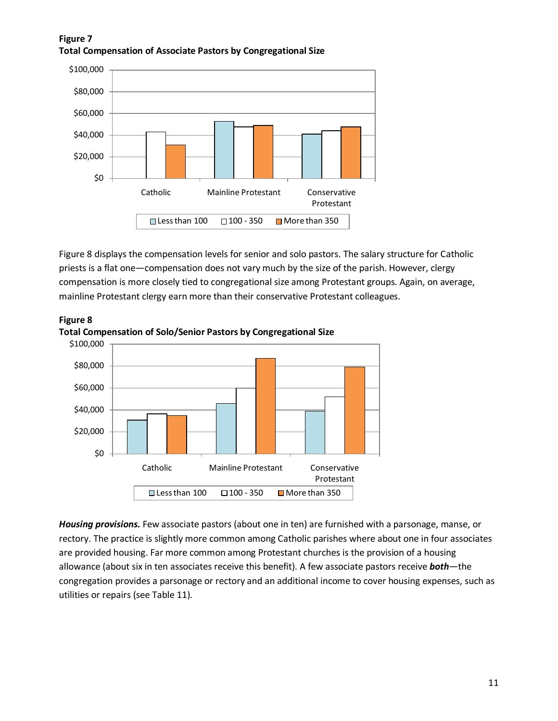# **Figure 7 Total Compensation of Associate Pastors by Congregational Size**



Figure 8 displays the compensation levels for senior and solo pastors. The salary structure for Catholic priests is a flat one—compensation does not vary much by the size of the parish. However, clergy compensation is more closely tied to congregational size among Protestant groups. Again, on average, mainline Protestant clergy earn more than their conservative Protestant colleagues.



**Figure 8 Total Compensation of Solo/Senior Pastors by Congregational Size**

*Housing provisions.* Few associate pastors (about one in ten) are furnished with a parsonage, manse, or rectory. The practice is slightly more common among Catholic parishes where about one in four associates are provided housing. Far more common among Protestant churches is the provision of a housing allowance (about six in ten associates receive this benefit). A few associate pastors receive *both*—the congregation provides a parsonage or rectory and an additional income to cover housing expenses, such as utilities or repairs (see Table 11).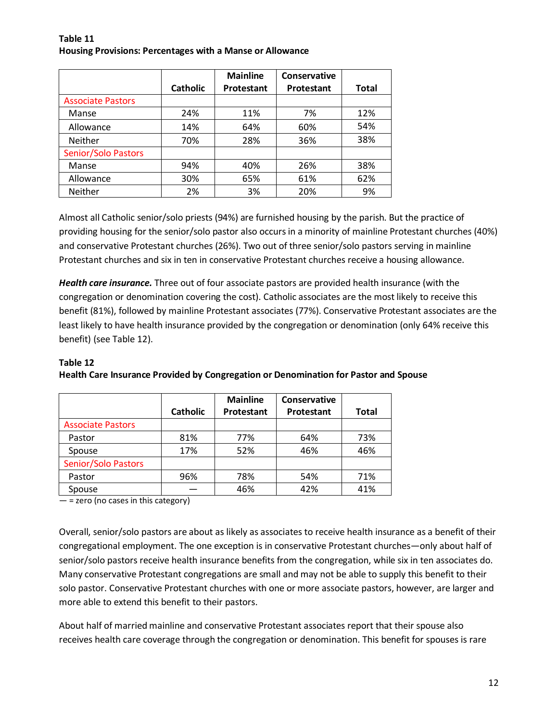#### **Table 11 Housing Provisions: Percentages with a Manse or Allowance**

|                            |                 | <b>Mainline</b> | Conservative |       |
|----------------------------|-----------------|-----------------|--------------|-------|
|                            | <b>Catholic</b> | Protestant      | Protestant   | Total |
| <b>Associate Pastors</b>   |                 |                 |              |       |
| Manse                      | 24%             | 11%             | 7%           | 12%   |
| Allowance                  | 14%             | 64%             | 60%          | 54%   |
| <b>Neither</b>             | 70%             | 28%             | 36%          | 38%   |
| <b>Senior/Solo Pastors</b> |                 |                 |              |       |
| Manse                      | 94%             | 40%             | 26%          | 38%   |
| Allowance                  | 30%             | 65%             | 61%          | 62%   |
| <b>Neither</b>             | 2%              | 3%              | 20%          | 9%    |

Almost all Catholic senior/solo priests (94%) are furnished housing by the parish. But the practice of providing housing for the senior/solo pastor also occurs in a minority of mainline Protestant churches (40%) and conservative Protestant churches (26%). Two out of three senior/solo pastors serving in mainline Protestant churches and six in ten in conservative Protestant churches receive a housing allowance.

*Health care insurance.* Three out of four associate pastors are provided health insurance (with the congregation or denomination covering the cost). Catholic associates are the most likely to receive this benefit (81%), followed by mainline Protestant associates (77%). Conservative Protestant associates are the least likely to have health insurance provided by the congregation or denomination (only 64% receive this benefit) (see Table 12).

# **Table 12**

|                            | <b>Catholic</b> | <b>Mainline</b><br>Protestant | <b>Conservative</b><br>Protestant | Total |
|----------------------------|-----------------|-------------------------------|-----------------------------------|-------|
| <b>Associate Pastors</b>   |                 |                               |                                   |       |
| Pastor                     | 81%             | 77%                           | 64%                               | 73%   |
| Spouse                     | 17%             | 52%                           | 46%                               | 46%   |
| <b>Senior/Solo Pastors</b> |                 |                               |                                   |       |
| Pastor                     | 96%             | 78%                           | 54%                               | 71%   |
| Spouse                     |                 | 46%                           | 42%                               | 41%   |

# **Health Care Insurance Provided by Congregation or Denomination for Pastor and Spouse**

 $-$  = zero (no cases in this category)

Overall, senior/solo pastors are about as likely as associates to receive health insurance as a benefit of their congregational employment. The one exception is in conservative Protestant churches—only about half of senior/solo pastors receive health insurance benefits from the congregation, while six in ten associates do. Many conservative Protestant congregations are small and may not be able to supply this benefit to their solo pastor. Conservative Protestant churches with one or more associate pastors, however, are larger and more able to extend this benefit to their pastors.

About half of married mainline and conservative Protestant associates report that their spouse also receives health care coverage through the congregation or denomination. This benefit for spouses is rare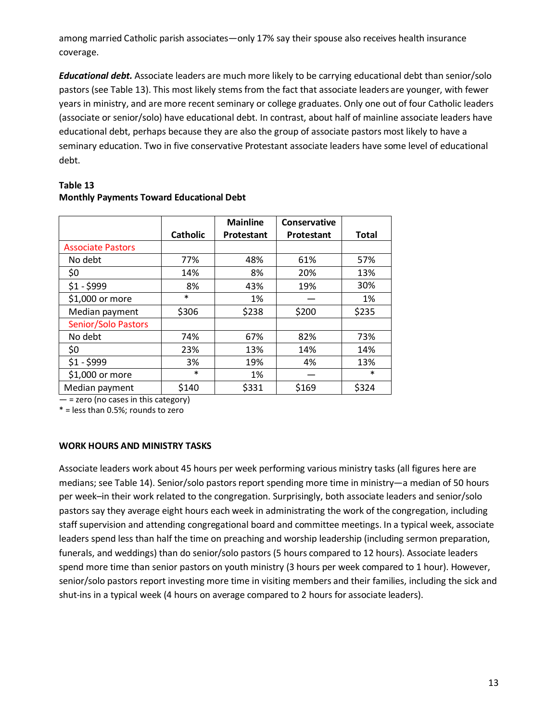among married Catholic parish associates—only 17% say their spouse also receives health insurance coverage.

*Educational debt.* Associate leaders are much more likely to be carrying educational debt than senior/solo pastors (see Table 13). This most likely stems from the fact that associate leaders are younger, with fewer years in ministry, and are more recent seminary or college graduates. Only one out of four Catholic leaders (associate or senior/solo) have educational debt. In contrast, about half of mainline associate leaders have educational debt, perhaps because they are also the group of associate pastors most likely to have a seminary education. Two in five conservative Protestant associate leaders have some level of educational debt.

|                            | <b>Catholic</b> | <b>Mainline</b><br>Protestant | Conservative<br>Protestant | <b>Total</b> |
|----------------------------|-----------------|-------------------------------|----------------------------|--------------|
| <b>Associate Pastors</b>   |                 |                               |                            |              |
| No debt                    | 77%             | 48%                           | 61%                        | 57%          |
| \$0                        | 14%             | 8%                            | 20%                        | 13%          |
| $$1 - $999$                | 8%              | 43%                           | 19%                        | 30%          |
| \$1,000 or more            | $\ast$          | 1%                            |                            | 1%           |
| Median payment             | \$306           | \$238                         | \$200                      | \$235        |
| <b>Senior/Solo Pastors</b> |                 |                               |                            |              |
| No debt                    | 74%             | 67%                           | 82%                        | 73%          |
| \$0                        | 23%             | 13%                           | 14%                        | 14%          |
| $$1 - $999$                | 3%              | 19%                           | 4%                         | 13%          |
| \$1,000 or more            | $\ast$          | 1%                            |                            | $\ast$       |
| Median payment             | \$140           | \$331                         | \$169                      | \$324        |

# **Table 13 Monthly Payments Toward Educational Debt**

 $-$  = zero (no cases in this category)

\* = less than 0.5%; rounds to zero

# **WORK HOURS AND MINISTRY TASKS**

Associate leaders work about 45 hours per week performing various ministry tasks (all figures here are medians; see Table 14). Senior/solo pastors report spending more time in ministry—a median of 50 hours per week–in their work related to the congregation. Surprisingly, both associate leaders and senior/solo pastors say they average eight hours each week in administrating the work of the congregation, including staff supervision and attending congregational board and committee meetings. In a typical week, associate leaders spend less than half the time on preaching and worship leadership (including sermon preparation, funerals, and weddings) than do senior/solo pastors (5 hours compared to 12 hours). Associate leaders spend more time than senior pastors on youth ministry (3 hours per week compared to 1 hour). However, senior/solo pastors report investing more time in visiting members and their families, including the sick and shut-ins in a typical week (4 hours on average compared to 2 hours for associate leaders).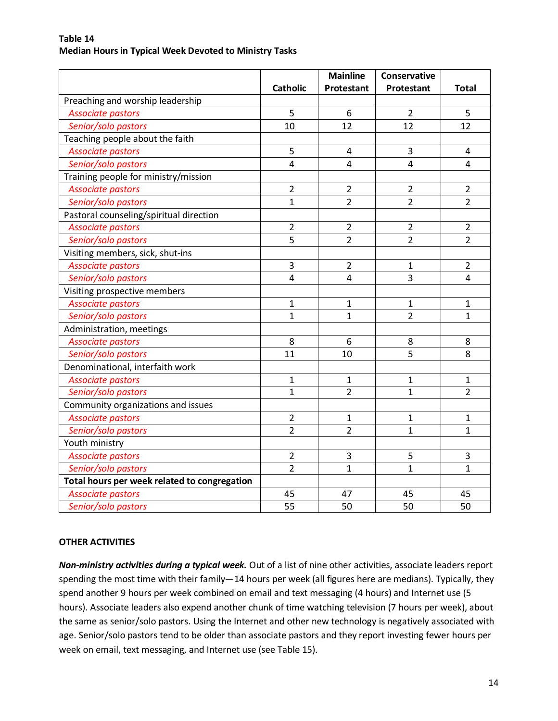|                                              | <b>Catholic</b> | <b>Mainline</b><br>Protestant | Conservative<br>Protestant | <b>Total</b>   |
|----------------------------------------------|-----------------|-------------------------------|----------------------------|----------------|
| Preaching and worship leadership             |                 |                               |                            |                |
| <b>Associate pastors</b>                     | 5               | 6                             | $\overline{2}$             | 5              |
| Senior/solo pastors                          | 10              | 12                            | 12                         | 12             |
| Teaching people about the faith              |                 |                               |                            |                |
| <b>Associate pastors</b>                     | 5               | 4                             | 3                          | 4              |
| Senior/solo pastors                          | 4               | 4                             | $\overline{4}$             | 4              |
| Training people for ministry/mission         |                 |                               |                            |                |
| <b>Associate pastors</b>                     | $\overline{2}$  | $\overline{2}$                | $\overline{2}$             | $\overline{2}$ |
| Senior/solo pastors                          | $\mathbf 1$     | $\overline{2}$                | $\overline{2}$             | $\overline{2}$ |
| Pastoral counseling/spiritual direction      |                 |                               |                            |                |
| <b>Associate pastors</b>                     | $\overline{2}$  | $\overline{2}$                | $\overline{2}$             | $\overline{2}$ |
| Senior/solo pastors                          | 5               | $\overline{2}$                | $\overline{2}$             | $\overline{2}$ |
| Visiting members, sick, shut-ins             |                 |                               |                            |                |
| <b>Associate pastors</b>                     | 3               | $\overline{2}$                | 1                          | $\overline{2}$ |
| Senior/solo pastors                          | 4               | 4                             | 3                          | $\overline{4}$ |
| Visiting prospective members                 |                 |                               |                            |                |
| <b>Associate pastors</b>                     | $\mathbf{1}$    | $\mathbf{1}$                  | $\mathbf{1}$               | $\mathbf{1}$   |
| Senior/solo pastors                          | $\mathbf{1}$    | $\mathbf{1}$                  | $\overline{2}$             | $\mathbf{1}$   |
| Administration, meetings                     |                 |                               |                            |                |
| <b>Associate pastors</b>                     | 8               | 6                             | 8                          | 8              |
| Senior/solo pastors                          | 11              | 10                            | $\overline{5}$             | 8              |
| Denominational, interfaith work              |                 |                               |                            |                |
| <b>Associate pastors</b>                     | $\mathbf{1}$    | $\mathbf{1}$                  | $\mathbf{1}$               | $\mathbf{1}$   |
| Senior/solo pastors                          | $\mathbf 1$     | $\overline{2}$                | $\mathbf{1}$               | $\overline{2}$ |
| Community organizations and issues           |                 |                               |                            |                |
| <b>Associate pastors</b>                     | $\overline{2}$  | $\mathbf{1}$                  | 1                          | 1              |
| Senior/solo pastors                          | $\overline{2}$  | $\overline{2}$                | $\mathbf{1}$               | $\mathbf{1}$   |
| Youth ministry                               |                 |                               |                            |                |
| <b>Associate pastors</b>                     | $\overline{2}$  | 3                             | 5                          | 3              |
| Senior/solo pastors                          | $\overline{2}$  | $\mathbf{1}$                  | $\mathbf{1}$               | $\mathbf{1}$   |
| Total hours per week related to congregation |                 |                               |                            |                |
| <b>Associate pastors</b>                     | 45              | 47                            | 45                         | 45             |
| Senior/solo pastors                          | 55              | 50                            | 50                         | 50             |

## **Table 14 Median Hours in Typical Week Devoted to Ministry Tasks**

# **OTHER ACTIVITIES**

*Non-ministry activities during a typical week.* Out of a list of nine other activities, associate leaders report spending the most time with their family—14 hours per week (all figures here are medians). Typically, they spend another 9 hours per week combined on email and text messaging (4 hours) and Internet use (5 hours). Associate leaders also expend another chunk of time watching television (7 hours per week), about the same as senior/solo pastors. Using the Internet and other new technology is negatively associated with age. Senior/solo pastors tend to be older than associate pastors and they report investing fewer hours per week on email, text messaging, and Internet use (see Table 15).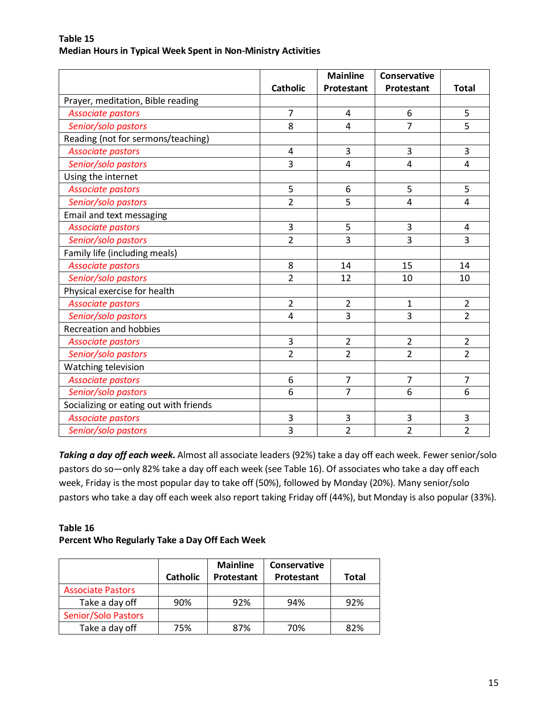|                                        |                 | <b>Mainline</b> | Conservative   |                |
|----------------------------------------|-----------------|-----------------|----------------|----------------|
|                                        | <b>Catholic</b> | Protestant      | Protestant     | <b>Total</b>   |
| Prayer, meditation, Bible reading      |                 |                 |                |                |
| <b>Associate pastors</b>               | 7               | 4               | 6              | 5              |
| Senior/solo pastors                    | 8               | $\overline{4}$  | $\overline{7}$ | 5              |
| Reading (not for sermons/teaching)     |                 |                 |                |                |
| <b>Associate pastors</b>               | 4               | 3               | 3              | 3              |
| Senior/solo pastors                    | 3               | 4               | $\overline{4}$ | 4              |
| Using the internet                     |                 |                 |                |                |
| <b>Associate pastors</b>               | 5               | 6               | 5              | 5              |
| Senior/solo pastors                    | $\overline{2}$  | 5               | $\overline{4}$ | $\overline{4}$ |
| Email and text messaging               |                 |                 |                |                |
| <b>Associate pastors</b>               | 3               | 5               | 3              | $\overline{4}$ |
| Senior/solo pastors                    | $\overline{2}$  | 3               | $\overline{3}$ | 3              |
| Family life (including meals)          |                 |                 |                |                |
| <b>Associate pastors</b>               | 8               | 14              | 15             | 14             |
| Senior/solo pastors                    | $\overline{2}$  | 12              | 10             | 10             |
| Physical exercise for health           |                 |                 |                |                |
| <b>Associate pastors</b>               | $\overline{2}$  | $\overline{2}$  | $\mathbf 1$    | $\overline{2}$ |
| Senior/solo pastors                    | $\overline{4}$  | 3               | $\overline{3}$ | $\overline{2}$ |
| <b>Recreation and hobbies</b>          |                 |                 |                |                |
| <b>Associate pastors</b>               | 3               | $\overline{2}$  | $\overline{2}$ | $\overline{2}$ |
| Senior/solo pastors                    | $\overline{2}$  | $\overline{2}$  | $\overline{2}$ | $\overline{2}$ |
| Watching television                    |                 |                 |                |                |
| <b>Associate pastors</b>               | 6               | $\overline{7}$  | $\overline{7}$ | 7              |
| Senior/solo pastors                    | 6               | $\overline{7}$  | 6              | 6              |
| Socializing or eating out with friends |                 |                 |                |                |
| <b>Associate pastors</b>               | 3               | 3               | 3              | 3              |
| Senior/solo pastors                    | $\overline{3}$  | $\overline{2}$  | $\overline{2}$ | $\overline{2}$ |

#### **Table 15 Median Hours in Typical Week Spent in Non-Ministry Activities**

*Taking a day off each week.* Almost all associate leaders (92%) take a day off each week. Fewer senior/solo pastors do so—only 82% take a day off each week (see Table 16). Of associates who take a day off each week, Friday is the most popular day to take off (50%), followed by Monday (20%). Many senior/solo pastors who take a day off each week also report taking Friday off (44%), but Monday is also popular (33%).

# **Table 16 Percent Who Regularly Take a Day Off Each Week**

|                            | <b>Catholic</b> | <b>Mainline</b><br>Protestant | Conservative<br>Protestant | Total |
|----------------------------|-----------------|-------------------------------|----------------------------|-------|
| <b>Associate Pastors</b>   |                 |                               |                            |       |
| Take a day off             | 90%             | 92%                           | 94%                        | 92%   |
| <b>Senior/Solo Pastors</b> |                 |                               |                            |       |
| Take a day off             | 75%             | 87%                           | 70%                        | 82%   |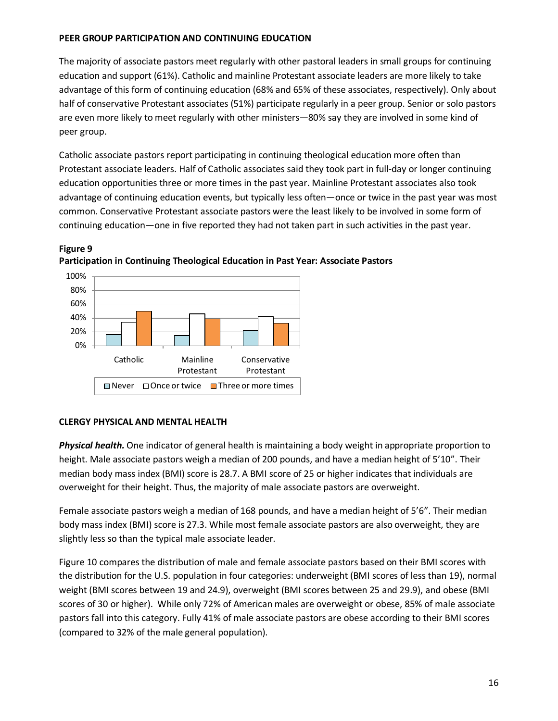# **PEER GROUP PARTICIPATION AND CONTINUING EDUCATION**

The majority of associate pastors meet regularly with other pastoral leaders in small groups for continuing education and support (61%). Catholic and mainline Protestant associate leaders are more likely to take advantage of this form of continuing education (68% and 65% of these associates, respectively). Only about half of conservative Protestant associates (51%) participate regularly in a peer group. Senior or solo pastors are even more likely to meet regularly with other ministers—80% say they are involved in some kind of peer group.

Catholic associate pastors report participating in continuing theological education more often than Protestant associate leaders. Half of Catholic associates said they took part in full-day or longer continuing education opportunities three or more times in the past year. Mainline Protestant associates also took advantage of continuing education events, but typically less often—once or twice in the past year was most common. Conservative Protestant associate pastors were the least likely to be involved in some form of continuing education—one in five reported they had not taken part in such activities in the past year.





# **CLERGY PHYSICAL AND MENTAL HEALTH**

**Figure 9**

*Physical health.* One indicator of general health is maintaining a body weight in appropriate proportion to height. Male associate pastors weigh a median of 200 pounds, and have a median height of 5'10". Their median body mass index (BMI) score is 28.7. A BMI score of 25 or higher indicates that individuals are overweight for their height. Thus, the majority of male associate pastors are overweight.

Female associate pastors weigh a median of 168 pounds, and have a median height of 5'6". Their median body mass index (BMI) score is 27.3. While most female associate pastors are also overweight, they are slightly less so than the typical male associate leader.

Figure 10 compares the distribution of male and female associate pastors based on their BMI scores with the distribution for the U.S. population in four categories: underweight (BMI scores of less than 19), normal weight (BMI scores between 19 and 24.9), overweight (BMI scores between 25 and 29.9), and obese (BMI scores of 30 or higher). While only 72% of American males are overweight or obese, 85% of male associate pastors fall into this category. Fully 41% of male associate pastors are obese according to their BMI scores (compared to 32% of the male general population).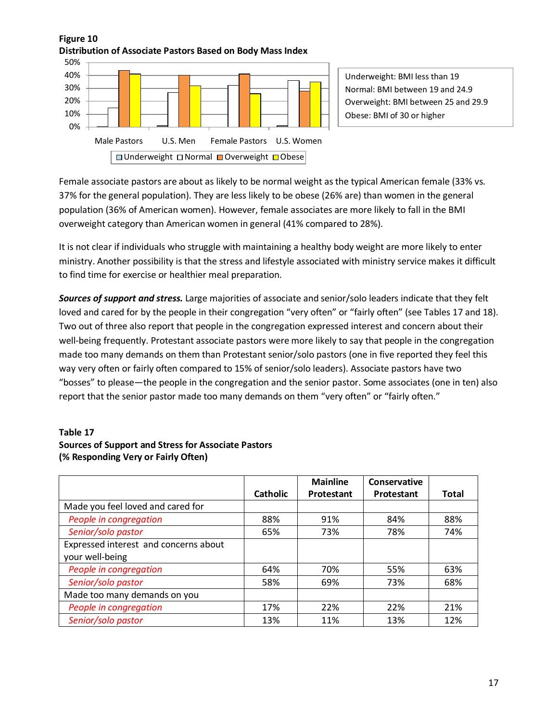# **Figure 10 Distribution of Associate Pastors Based on Body Mass Index**



Underweight: BMI less than 19 Normal: BMI between 19 and 24.9 Overweight: BMI between 25 and 29.9 Obese: BMI of 30 or higher

Female associate pastors are about as likely to be normal weight as the typical American female (33% vs. 37% for the general population). They are less likely to be obese (26% are) than women in the general population (36% of American women). However, female associates are more likely to fall in the BMI overweight category than American women in general (41% compared to 28%).

It is not clear if individuals who struggle with maintaining a healthy body weight are more likely to enter ministry. Another possibility is that the stress and lifestyle associated with ministry service makes it difficult to find time for exercise or healthier meal preparation.

*Sources of support and stress.* Large majorities of associate and senior/solo leaders indicate that they felt loved and cared for by the people in their congregation "very often" or "fairly often" (see Tables 17 and 18). Two out of three also report that people in the congregation expressed interest and concern about their well-being frequently. Protestant associate pastors were more likely to say that people in the congregation made too many demands on them than Protestant senior/solo pastors (one in five reported they feel this way very often or fairly often compared to 15% of senior/solo leaders). Associate pastors have two "bosses" to please—the people in the congregation and the senior pastor. Some associates (one in ten) also report that the senior pastor made too many demands on them "very often" or "fairly often."

# **Table 17 Sources of Support and Stress for Associate Pastors (% Responding Very or Fairly Often)**

|                                       |                 | <b>Mainline</b> | Conservative |              |
|---------------------------------------|-----------------|-----------------|--------------|--------------|
|                                       | <b>Catholic</b> | Protestant      | Protestant   | <b>Total</b> |
| Made you feel loved and cared for     |                 |                 |              |              |
| People in congregation                | 88%             | 91%             | 84%          | 88%          |
| Senior/solo pastor                    | 65%             | 73%             | 78%          | 74%          |
| Expressed interest and concerns about |                 |                 |              |              |
| your well-being                       |                 |                 |              |              |
| People in congregation                | 64%             | 70%             | 55%          | 63%          |
| Senior/solo pastor                    | 58%             | 69%             | 73%          | 68%          |
| Made too many demands on you          |                 |                 |              |              |
| People in congregation                | 17%             | 22%             | 22%          | 21%          |
| Senior/solo pastor                    | 13%             | 11%             | 13%          | 12%          |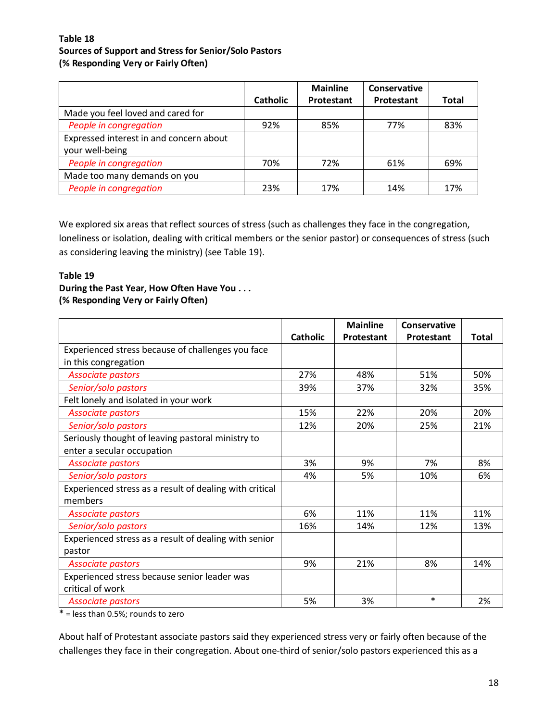## **Table 18 Sources of Support and Stress for Senior/Solo Pastors (% Responding Very or Fairly Often)**

|                                                            | <b>Catholic</b> | <b>Mainline</b><br>Protestant | Conservative<br>Protestant | <b>Total</b> |
|------------------------------------------------------------|-----------------|-------------------------------|----------------------------|--------------|
| Made you feel loved and cared for                          |                 |                               |                            |              |
| People in congregation                                     | 92%             | 85%                           | 77%                        | 83%          |
| Expressed interest in and concern about<br>your well-being |                 |                               |                            |              |
| People in congregation                                     | 70%             | 72%                           | 61%                        | 69%          |
| Made too many demands on you                               |                 |                               |                            |              |
| People in congregation                                     | 23%             | 17%                           | 14%                        | 17%          |

We explored six areas that reflect sources of stress (such as challenges they face in the congregation, loneliness or isolation, dealing with critical members or the senior pastor) or consequences of stress (such as considering leaving the ministry) (see Table 19).

### **Table 19**

## **During the Past Year, How Often Have You . . . (% Responding Very or Fairly Often)**

|                                                         |                 | <b>Mainline</b> | Conservative |       |
|---------------------------------------------------------|-----------------|-----------------|--------------|-------|
|                                                         | <b>Catholic</b> | Protestant      | Protestant   | Total |
| Experienced stress because of challenges you face       |                 |                 |              |       |
| in this congregation                                    |                 |                 |              |       |
| <b>Associate pastors</b>                                | 27%             | 48%             | 51%          | 50%   |
| Senior/solo pastors                                     | 39%             | 37%             | 32%          | 35%   |
| Felt lonely and isolated in your work                   |                 |                 |              |       |
| <b>Associate pastors</b>                                | 15%             | 22%             | 20%          | 20%   |
| Senior/solo pastors                                     | 12%             | 20%             | 25%          | 21%   |
| Seriously thought of leaving pastoral ministry to       |                 |                 |              |       |
| enter a secular occupation                              |                 |                 |              |       |
| <b>Associate pastors</b>                                | 3%              | 9%              | 7%           | 8%    |
| Senior/solo pastors                                     | 4%              | 5%              | 10%          | 6%    |
| Experienced stress as a result of dealing with critical |                 |                 |              |       |
| members                                                 |                 |                 |              |       |
| <b>Associate pastors</b>                                | 6%              | 11%             | 11%          | 11%   |
| Senior/solo pastors                                     | 16%             | 14%             | 12%          | 13%   |
| Experienced stress as a result of dealing with senior   |                 |                 |              |       |
| pastor                                                  |                 |                 |              |       |
| <b>Associate pastors</b>                                | 9%              | 21%             | 8%           | 14%   |
| Experienced stress because senior leader was            |                 |                 |              |       |
| critical of work                                        |                 |                 |              |       |
| <b>Associate pastors</b>                                | 5%              | 3%              | $\ast$       | 2%    |

\* = less than 0.5%; rounds to zero

About half of Protestant associate pastors said they experienced stress very or fairly often because of the challenges they face in their congregation. About one-third of senior/solo pastors experienced this as a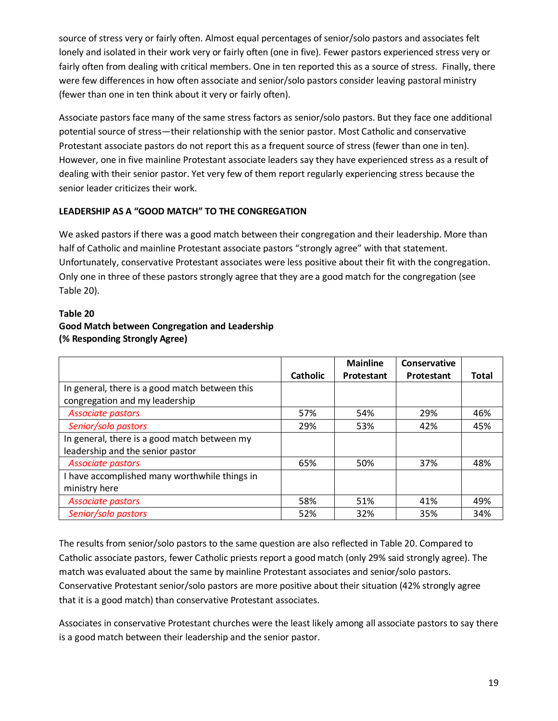source of stress very or fairly often. Almost equal percentages of senior/solo pastors and associates felt lonely and isolated in their work very or fairly often (one in five). Fewer pastors experienced stress very or fairly often from dealing with critical members. One in ten reported this as a source of stress. Finally, there were few differences in how often associate and senior/solo pastors consider leaving pastoral ministry (fewer than one in ten think about it very or fairly often).

Associate pastors face many of the same stress factors as senior/solo pastors. But they face one additional potential source of stress—their relationship with the senior pastor. Most Catholic and conservative Protestant associate pastors do not report this as a frequent source of stress (fewer than one in ten). However, one in five mainline Protestant associate leaders say they have experienced stress as a result of dealing with their senior pastor. Yet very few of them report regularly experiencing stress because the senior leader criticizes their work.

# **LEADERSHIP AS A "GOOD MATCH" TO THE CONGREGATION**

We asked pastors if there was a good match between their congregation and their leadership. More than half of Catholic and mainline Protestant associate pastors "strongly agree" with that statement. Unfortunately, conservative Protestant associates were less positive about their fit with the congregation. Only one in three of these pastors strongly agree that they are a good match for the congregation (see Table 20).

# **Table 20 Good Match between Congregation and Leadership (% Responding Strongly Agree)**

|                                                |                 | <b>Mainline</b> | Conservative |       |
|------------------------------------------------|-----------------|-----------------|--------------|-------|
|                                                | <b>Catholic</b> | Protestant      | Protestant   | Total |
| In general, there is a good match between this |                 |                 |              |       |
| congregation and my leadership                 |                 |                 |              |       |
| <b>Associate pastors</b>                       | 57%             | 54%             | 29%          | 46%   |
| Senior/solo pastors                            | 29%             | 53%             | 42%          | 45%   |
| In general, there is a good match between my   |                 |                 |              |       |
| leadership and the senior pastor               |                 |                 |              |       |
| <b>Associate pastors</b>                       | 65%             | 50%             | 37%          | 48%   |
| I have accomplished many worthwhile things in  |                 |                 |              |       |
| ministry here                                  |                 |                 |              |       |
| Associate pastors                              | 58%             | 51%             | 41%          | 49%   |
| Senior/solo pastors                            | 52%             | 32%             | 35%          | 34%   |

The results from senior/solo pastors to the same question are also reflected in Table 20. Compared to Catholic associate pastors, fewer Catholic priests report a good match (only 29% said strongly agree). The match was evaluated about the same by mainline Protestant associates and senior/solo pastors. Conservative Protestant senior/solo pastors are more positive about their situation (42% strongly agree that it is a good match) than conservative Protestant associates.

Associates in conservative Protestant churches were the least likely among all associate pastors to say there is a good match between their leadership and the senior pastor.